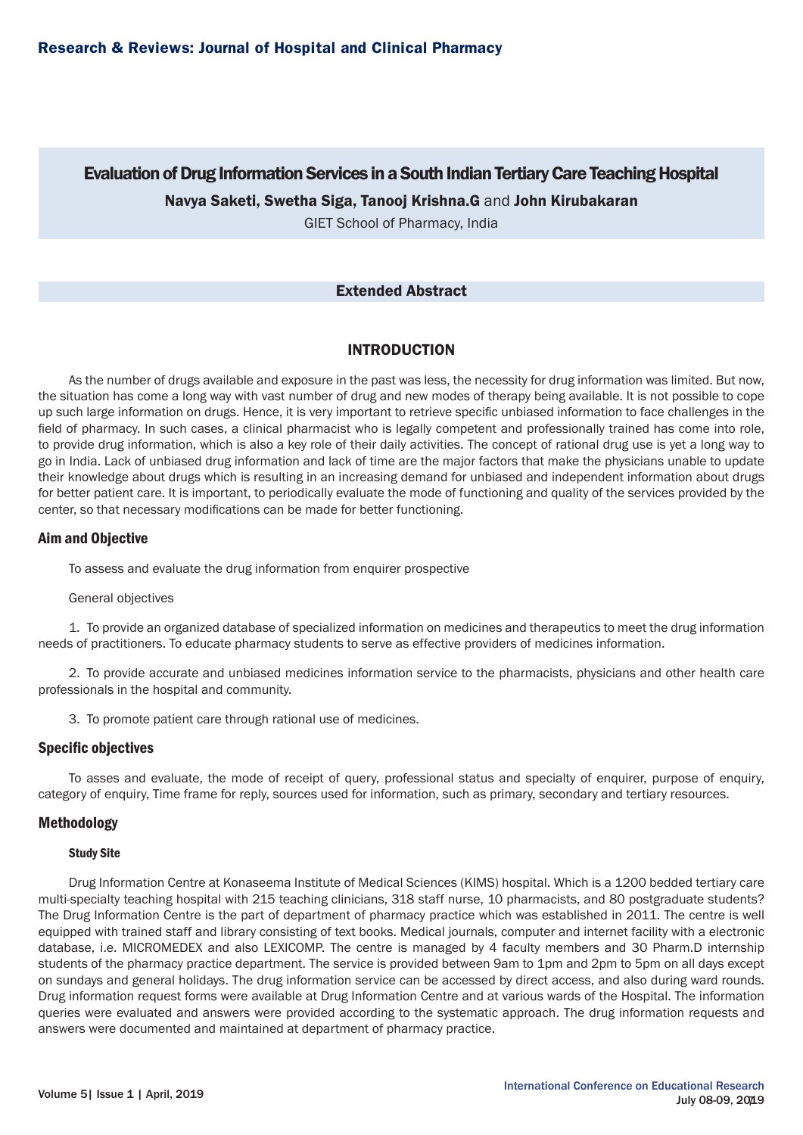# Evaluation of Drug Information Services in a South Indian Tertiary Care Teaching Hospital Navya Saketi, Swetha Siga, Tanooj Krishna.G and John Kirubakaran

GIET School of Pharmacy, India

# Extended Abstract

# INTRODUCTION

As the number of drugs available and exposure in the past was less, the necessity for drug information was limited. But now, the situation has come a long way with vast number of drug and new modes of therapy being available. It is not possible to cope up such large information on drugs. Hence, it is very important to retrieve specific unbiased information to face challenges in the field of pharmacy. In such cases, a clinical pharmacist who is legally competent and professionally trained has come into role, to provide drug information, which is also a key role of their daily activities. The concept of rational drug use is yet a long way to go in India. Lack of unbiased drug information and lack of time are the major factors that make the physicians unable to update their knowledge about drugs which is resulting in an increasing demand for unbiased and independent information about drugs for better patient care. It is important, to periodically evaluate the mode of functioning and quality of the services provided by the center, so that necessary modifications can be made for better functioning.

# Aim and Objective

To assess and evaluate the drug information from enquirer prospective

# General objectives

1. To provide an organized database of specialized information on medicines and therapeutics to meet the drug information needs of practitioners. To educate pharmacy students to serve as effective providers of medicines information.

2. To provide accurate and unbiased medicines information service to the pharmacists, physicians and other health care professionals in the hospital and community.

3. To promote patient care through rational use of medicines.

# Specific objectives

To asses and evaluate, the mode of receipt of query, professional status and specialty of enquirer, purpose of enquiry, category of enquiry, Time frame for reply, sources used for information, such as primary, secondary and tertiary resources.

# Methodology

#### Study Site

Drug Information Centre at Konaseema Institute of Medical Sciences (KIMS) hospital. Which is a 1200 bedded tertiary care multi-specialty teaching hospital with 215 teaching clinicians, 318 staff nurse, 10 pharmacists, and 80 postgraduate students? The Drug Information Centre is the part of department of pharmacy practice which was established in 2011. The centre is well equipped with trained staff and library consisting of text books. Medical journals, computer and internet facility with a electronic database, i.e. MICROMEDEX and also LEXICOMP. The centre is managed by 4 faculty members and 30 Pharm.D internship students of the pharmacy practice department. The service is provided between 9am to 1pm and 2pm to 5pm on all days except on sundays and general holidays. The drug information service can be accessed by direct access, and also during ward rounds. Drug information request forms were available at Drug Information Centre and at various wards of the Hospital. The information queries were evaluated and answers were provided according to the systematic approach. The drug information requests and answers were documented and maintained at department of pharmacy practice.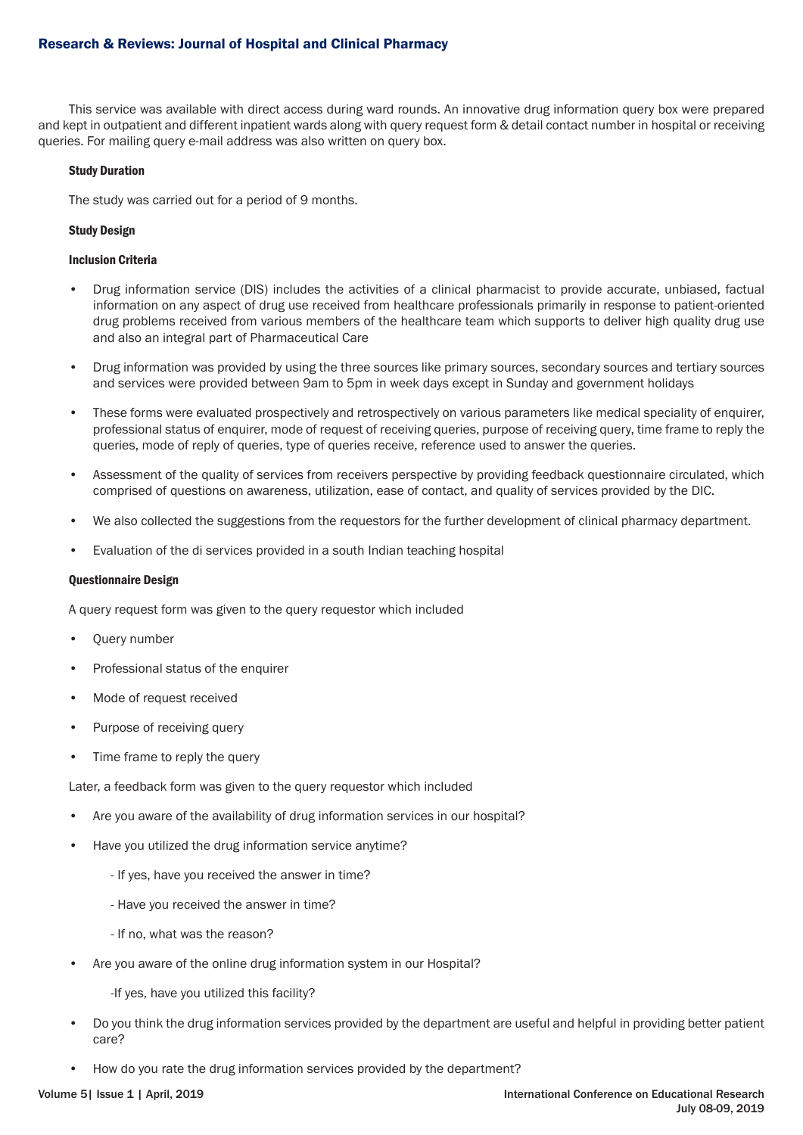# Research & Reviews: Journal of Hospital and Clinical Pharmacy

This service was available with direct access during ward rounds. An innovative drug information query box were prepared and kept in outpatient and different inpatient wards along with query request form & detail contact number in hospital or receiving queries. For mailing query e-mail address was also written on query box.

### Study Duration

The study was carried out for a period of 9 months.

### Study Design

### Inclusion Criteria

- Drug information service (DIS) includes the activities of a clinical pharmacist to provide accurate, unbiased, factual information on any aspect of drug use received from healthcare professionals primarily in response to patient-oriented drug problems received from various members of the healthcare team which supports to deliver high quality drug use and also an integral part of Pharmaceutical Care
- Drug information was provided by using the three sources like primary sources, secondary sources and tertiary sources and services were provided between 9am to 5pm in week days except in Sunday and government holidays
- These forms were evaluated prospectively and retrospectively on various parameters like medical speciality of enquirer, professional status of enquirer, mode of request of receiving queries, purpose of receiving query, time frame to reply the queries, mode of reply of queries, type of queries receive, reference used to answer the queries.
- Assessment of the quality of services from receivers perspective by providing feedback questionnaire circulated, which comprised of questions on awareness, utilization, ease of contact, and quality of services provided by the DIC.
- We also collected the suggestions from the requestors for the further development of clinical pharmacy department.
- Evaluation of the di services provided in a south Indian teaching hospital

#### Questionnaire Design

A query request form was given to the query requestor which included

- Query number
- Professional status of the enquirer
- Mode of request received
- Purpose of receiving query
- Time frame to reply the query

Later, a feedback form was given to the query requestor which included

- Are you aware of the availability of drug information services in our hospital?
- Have you utilized the drug information service anytime?
	- If yes, have you received the answer in time?
	- Have you received the answer in time?
	- If no, what was the reason?
- Are you aware of the online drug information system in our Hospital?

-If yes, have you utilized this facility?

- Do you think the drug information services provided by the department are useful and helpful in providing better patient care?
- How do you rate the drug information services provided by the department?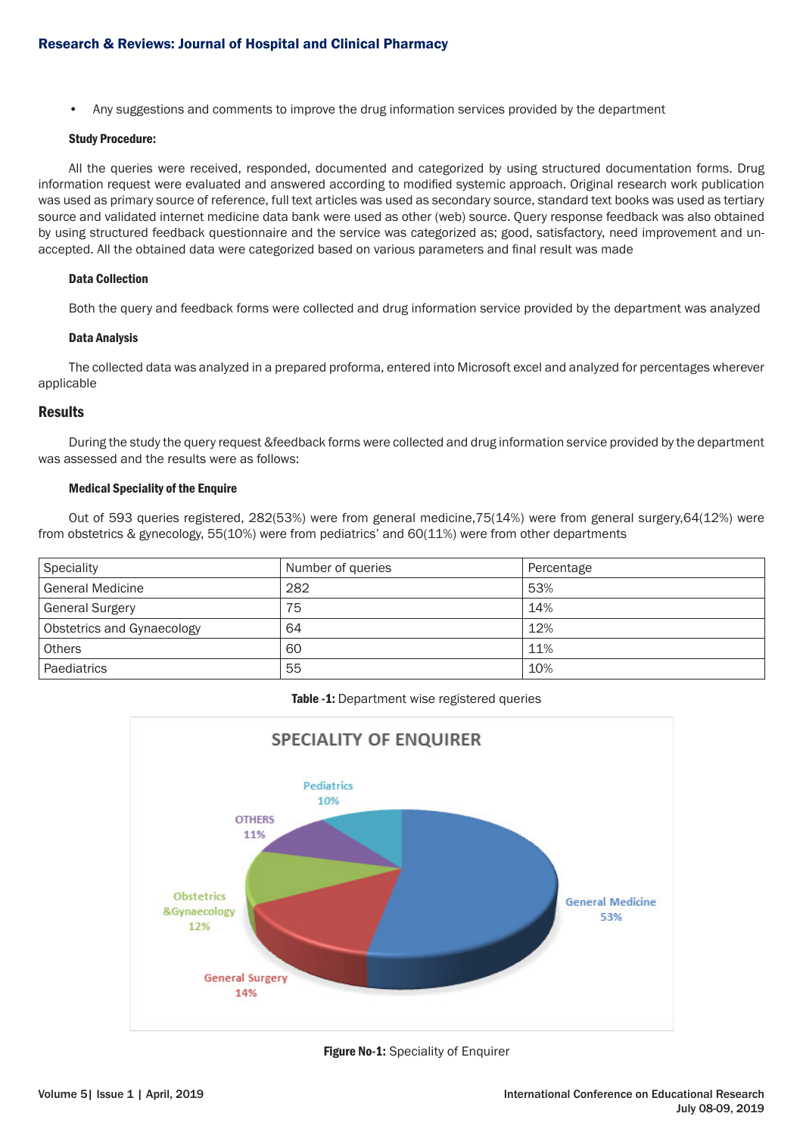• Any suggestions and comments to improve the drug information services provided by the department

#### Study Procedure:

All the queries were received, responded, documented and categorized by using structured documentation forms. Drug information request were evaluated and answered according to modified systemic approach. Original research work publication was used as primary source of reference, full text articles was used as secondary source, standard text books was used as tertiary source and validated internet medicine data bank were used as other (web) source. Query response feedback was also obtained by using structured feedback questionnaire and the service was categorized as; good, satisfactory, need improvement and unaccepted. All the obtained data were categorized based on various parameters and final result was made

#### Data Collection

Both the query and feedback forms were collected and drug information service provided by the department was analyzed

#### Data Analysis

The collected data was analyzed in a prepared proforma, entered into Microsoft excel and analyzed for percentages wherever applicable

### Results

During the study the query request &feedback forms were collected and drug information service provided by the department was assessed and the results were as follows:

#### Medical Speciality of the Enquire

Out of 593 queries registered, 282(53%) were from general medicine,75(14%) were from general surgery,64(12%) were from obstetrics & gynecology, 55(10%) were from pediatrics' and 60(11%) were from other departments

| Speciality                 | Number of queries | Percentage |
|----------------------------|-------------------|------------|
| <b>General Medicine</b>    | 282               | 53%        |
| <b>General Surgery</b>     | 75                | 14%        |
| Obstetrics and Gynaecology | 64                | 12%        |
| <b>Others</b>              | 60                | 11%        |
| Paediatrics                | 55                | 10%        |

#### Table -1: Department wise registered queries



Figure No-1: Speciality of Enquirer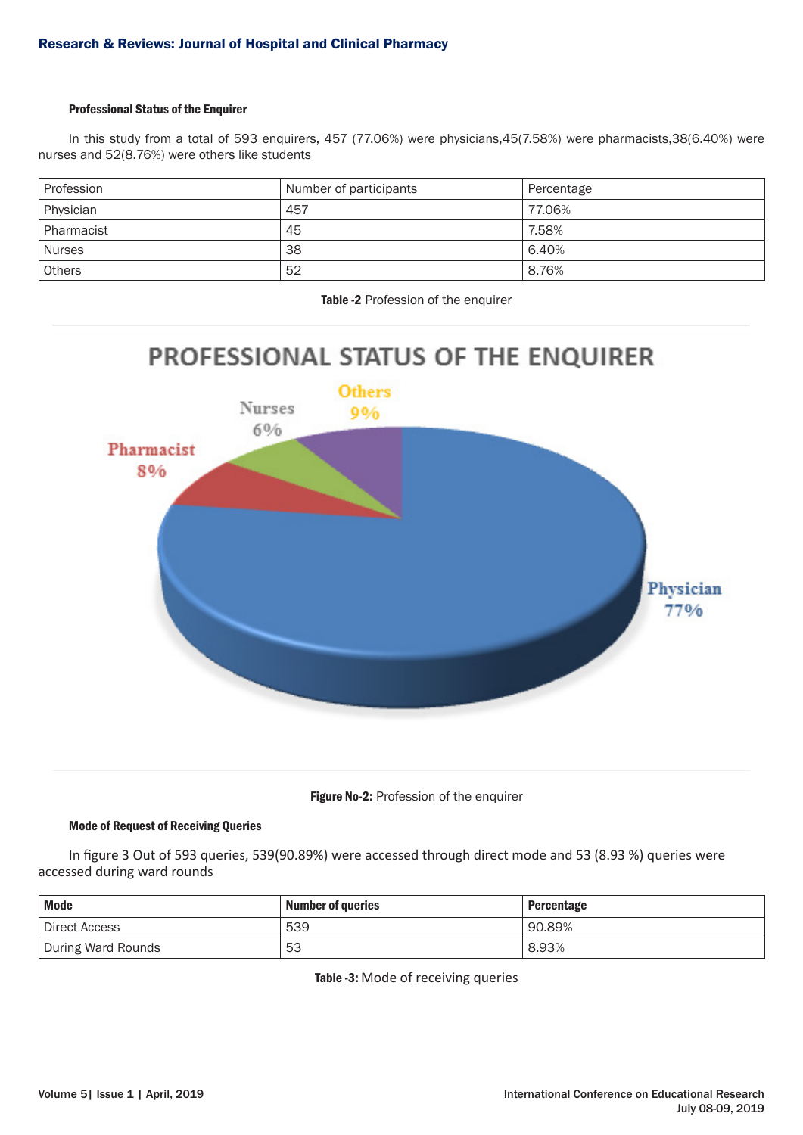# Professional Status of the Enquirer

In this study from a total of 593 enquirers, 457 (77.06%) were physicians,45(7.58%) were pharmacists,38(6.40%) were nurses and 52(8.76%) were others like students

| Profession    | Number of participants | Percentage |
|---------------|------------------------|------------|
| Physician     | 457                    | 77.06%     |
| Pharmacist    | 45                     | 7.58%      |
| <b>Nurses</b> | 38                     | 6.40%      |
| <b>Others</b> | 52                     | 8.76%      |

Table -2 Profession of the enquirer





# Mode of Request of Receiving Queries

In figure 3 Out of 593 queries, 539(90.89%) were accessed through direct mode and 53 (8.93 %) queries were accessed during ward rounds

| <b>Mode</b>                | <b>Number of queries</b> | Percentage |
|----------------------------|--------------------------|------------|
| <sup>1</sup> Direct Access | 539                      | ' 90.89%   |
| During Ward Rounds         | 53                       | 8.93%      |

Table -3: Mode of receiving queries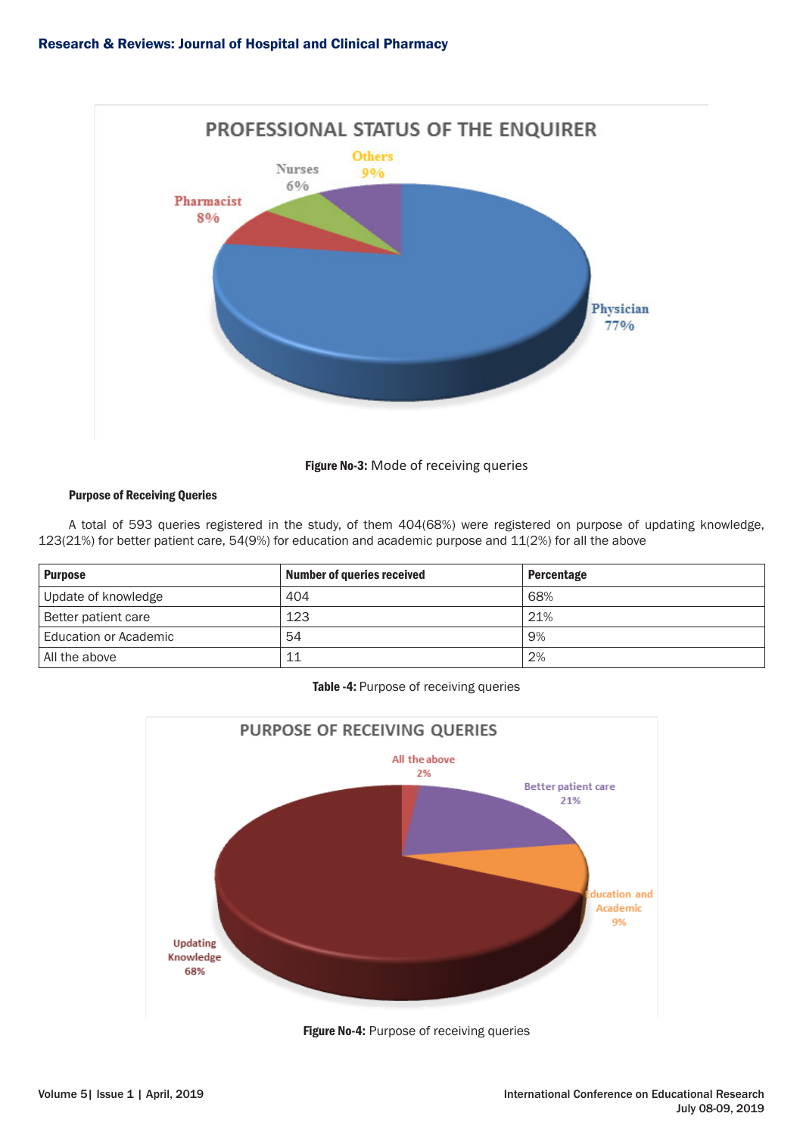

Figure No-3: Mode of receiving queries

# Purpose of Receiving Queries

A total of 593 queries registered in the study, of them 404(68%) were registered on purpose of updating knowledge, 123(21%) for better patient care, 54(9%) for education and academic purpose and 11(2%) for all the above

| <b>Purpose</b>        | <b>Number of queries received</b> | <b>Percentage</b> |
|-----------------------|-----------------------------------|-------------------|
| Update of knowledge   | 404                               | 68%               |
| Better patient care   | 123                               | 21%               |
| Education or Academic | 54                                | 9%                |
| All the above         | 11                                | 2%                |

# Table -4: Purpose of receiving queries



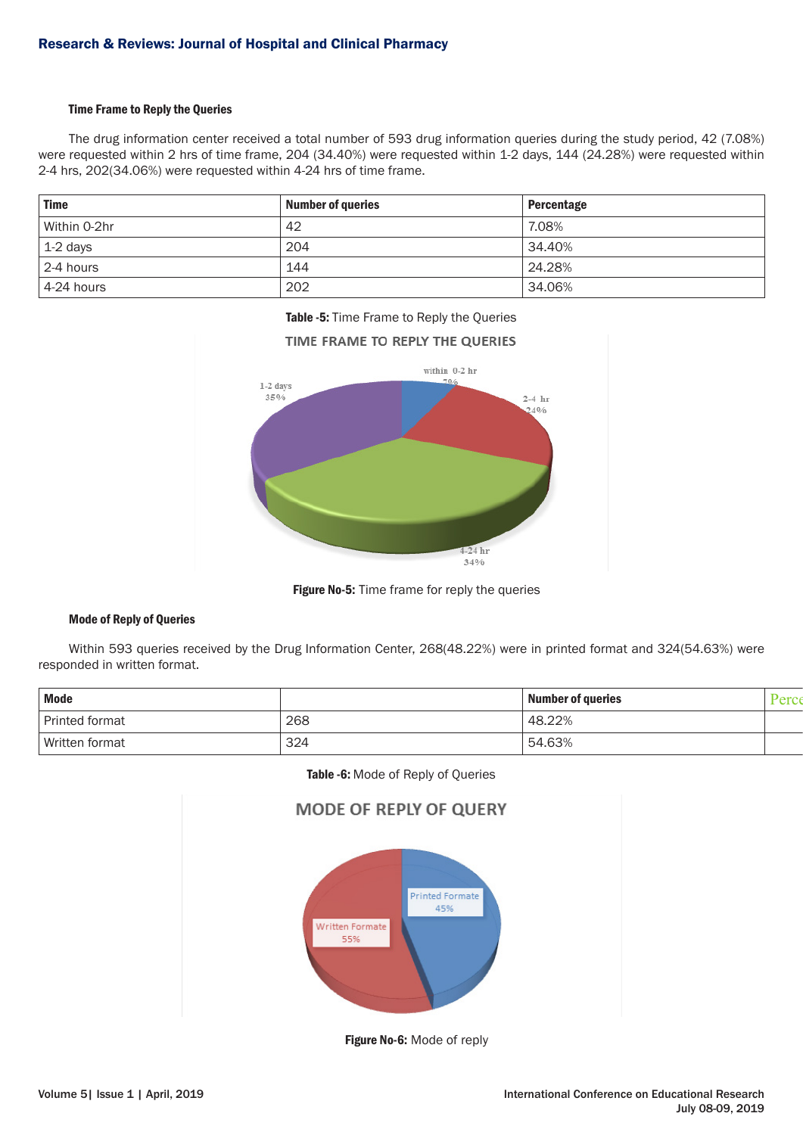### Time Frame to Reply the Queries

The drug information center received a total number of 593 drug information queries during the study period, 42 (7.08%) were requested within 2 hrs of time frame, 204 (34.40%) were requested within 1-2 days, 144 (24.28%) were requested within 2-4 hrs, 202(34.06%) were requested within 4-24 hrs of time frame.

| <b>Time</b>       | <b>Number of queries</b> | Percentage |
|-------------------|--------------------------|------------|
| Within 0-2hr      | 42                       | 7.08%      |
| $\vert$ 1-2 days  | 204                      | 34.40%     |
| 2-4 hours         | 144                      | 24.28%     |
| $\pm 4$ -24 hours | 202                      | 34.06%     |





Figure No-5: Time frame for reply the queries

#### Mode of Reply of Queries

Within 593 queries received by the Drug Information Center, 268(48.22%) were in printed format and 324(54.63%) were responded in written format.

| <b>Mode</b>           |     | <b>Number of queries</b> |  |
|-----------------------|-----|--------------------------|--|
| <b>Printed format</b> | 268 | 48.22%                   |  |
| Written format        | 324 | 54.63%                   |  |

Table -6: Mode of Reply of Queries



Figure No-6: Mode of reply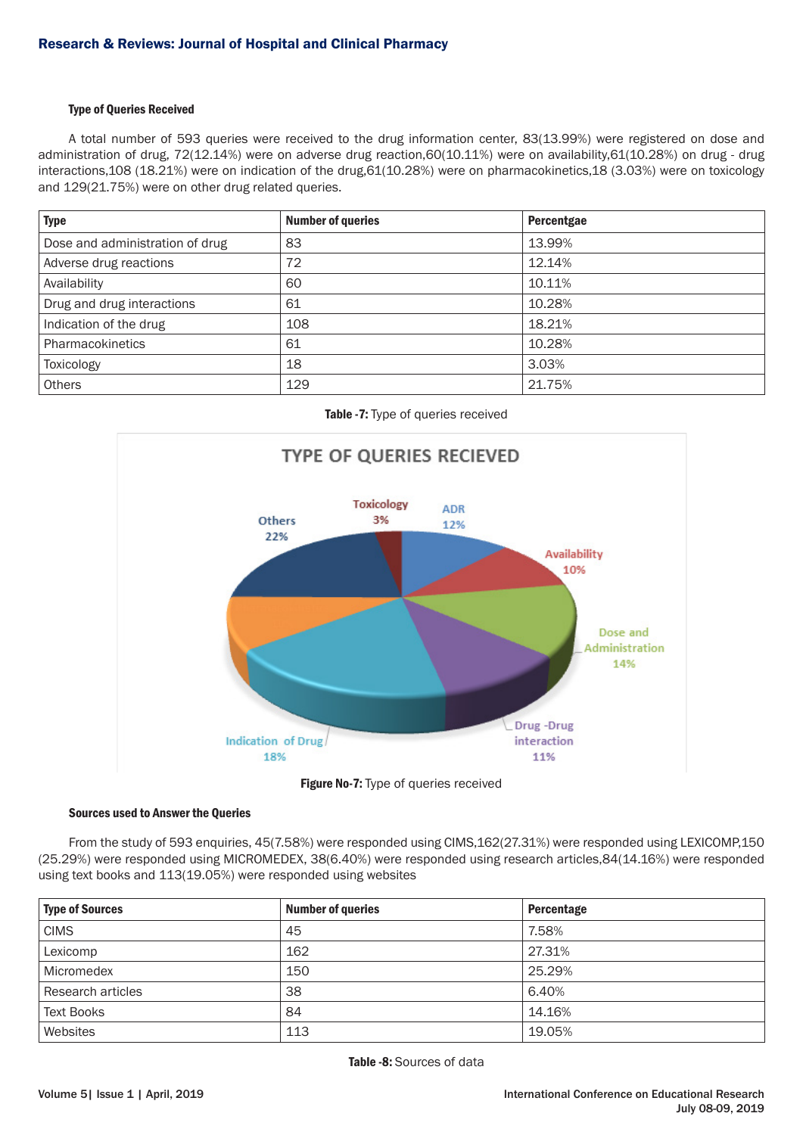# Type of Queries Received

A total number of 593 queries were received to the drug information center, 83(13.99%) were registered on dose and administration of drug, 72(12.14%) were on adverse drug reaction,60(10.11%) were on availability,61(10.28%) on drug - drug interactions,108 (18.21%) were on indication of the drug,61(10.28%) were on pharmacokinetics,18 (3.03%) were on toxicology and 129(21.75%) were on other drug related queries.

| <b>Type</b>                     | <b>Number of queries</b> | Percentgae |
|---------------------------------|--------------------------|------------|
| Dose and administration of drug | 83                       | 13.99%     |
| Adverse drug reactions          | 72                       | 12.14%     |
| Availability                    | 60                       | 10.11%     |
| Drug and drug interactions      | 61                       | 10.28%     |
| Indication of the drug          | 108                      | 18.21%     |
| Pharmacokinetics                | 61                       | 10.28%     |
| Toxicology                      | 18                       | 3.03%      |
| <b>Others</b>                   | 129                      | 21.75%     |





# Figure No-7: Type of queries received

# Sources used to Answer the Queries

From the study of 593 enquiries, 45(7.58%) were responded using CIMS,162(27.31%) were responded using LEXICOMP,150 (25.29%) were responded using MICROMEDEX, 38(6.40%) were responded using research articles,84(14.16%) were responded using text books and 113(19.05%) were responded using websites

| <b>Type of Sources</b> | <b>Number of queries</b> | Percentage |
|------------------------|--------------------------|------------|
| <b>CIMS</b>            | 45                       | 7.58%      |
| Lexicomp               | 162                      | 27.31%     |
| Micromedex             | 150                      | 25.29%     |
| Research articles      | 38                       | 6.40%      |
| <b>Text Books</b>      | 84                       | 14.16%     |
| Websites               | 113                      | 19.05%     |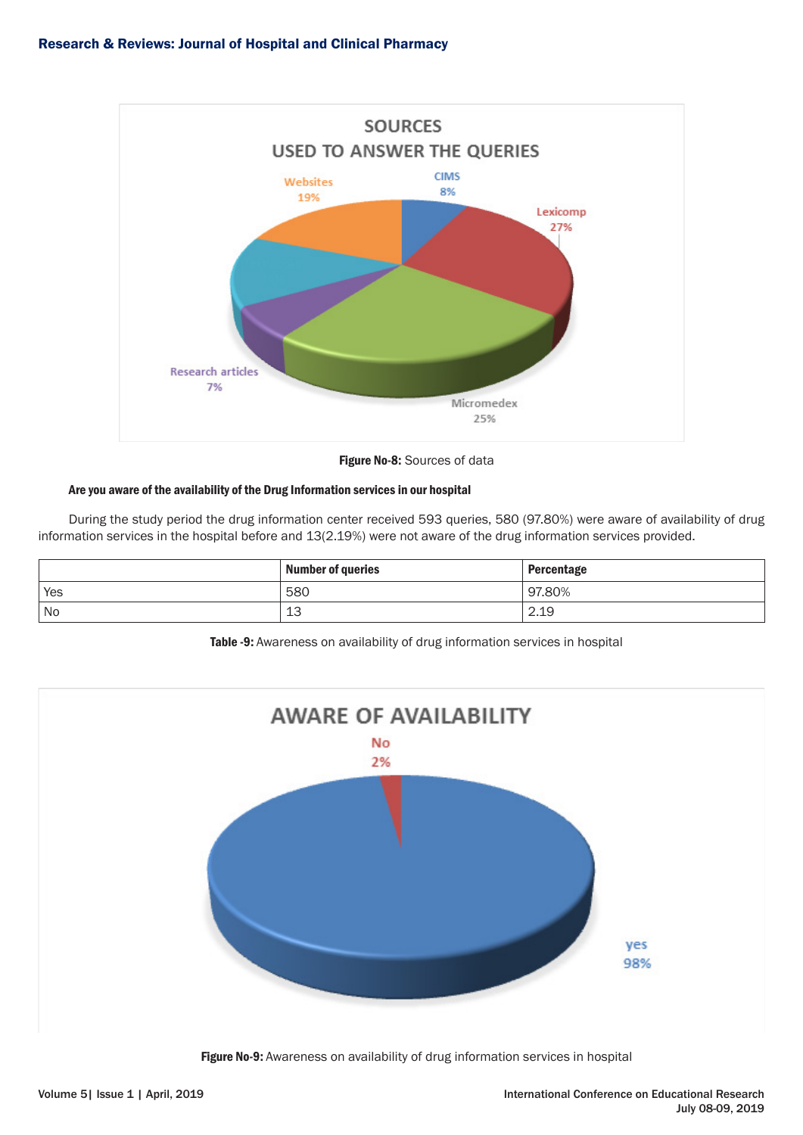

Figure No-8: Sources of data

# Are you aware of the availability of the Drug Information services in our hospital

During the study period the drug information center received 593 queries, 580 (97.80%) were aware of availability of drug information services in the hospital before and 13(2.19%) were not aware of the drug information services provided.

|     | <b>Number of queries</b> | Percentage |
|-----|--------------------------|------------|
| Yes | 580                      | 97.80%     |
| No  | 13                       | 2.19       |

Table -9: Awareness on availability of drug information services in hospital



Figure No-9: Awareness on availability of drug information services in hospital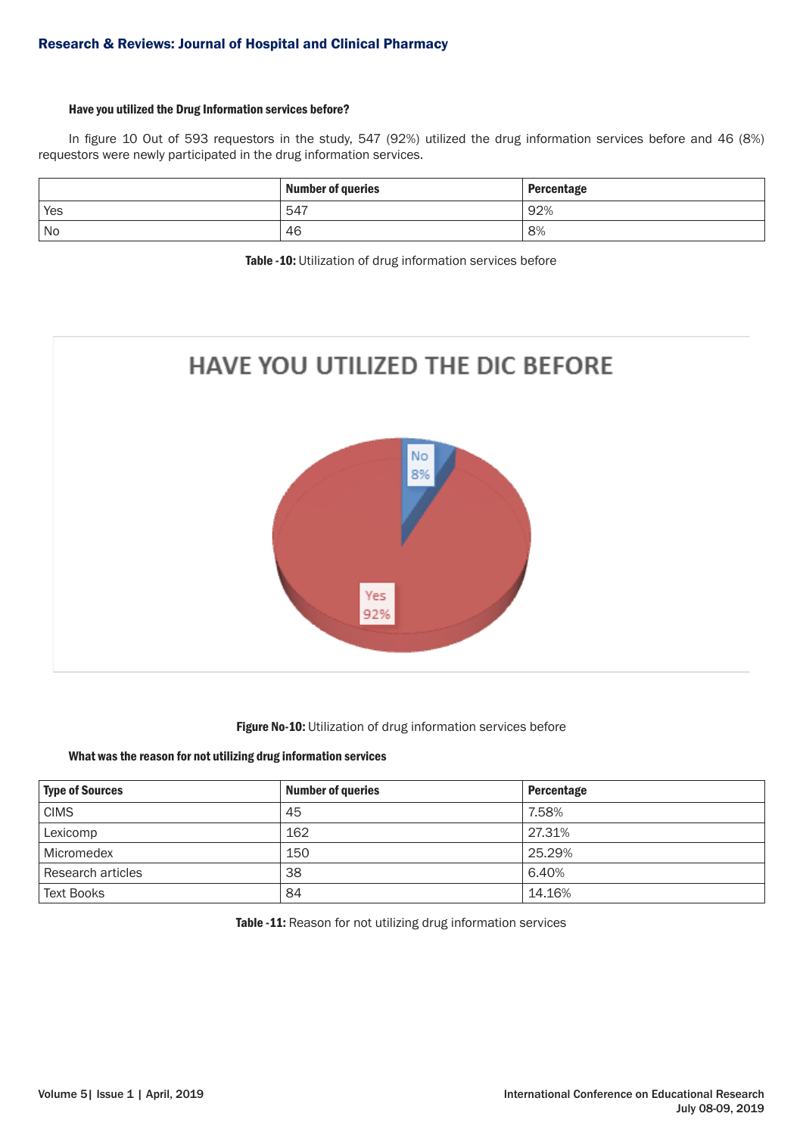# Have you utilized the Drug Information services before?

In figure 10 Out of 593 requestors in the study, 547 (92%) utilized the drug information services before and 46 (8%) requestors were newly participated in the drug information services.

|      | <b>Number of queries</b> | Percentage |
|------|--------------------------|------------|
| Yes  | 547                      | 92%        |
| ' No | 46                       | 8%         |

Table -10: Utilization of drug information services before



# Figure No-10: Utilization of drug information services before

### What was the reason for not utilizing drug information services

| <b>Type of Sources</b> | <b>Number of queries</b> | Percentage |
|------------------------|--------------------------|------------|
| <b>CIMS</b>            | 45                       | 7.58%      |
| Lexicomp               | 162                      | 27.31%     |
| Micromedex             | 150                      | 25.29%     |
| Research articles      | 38                       | 6.40%      |
| <b>Text Books</b>      | 84                       | 14.16%     |

Table -11: Reason for not utilizing drug information services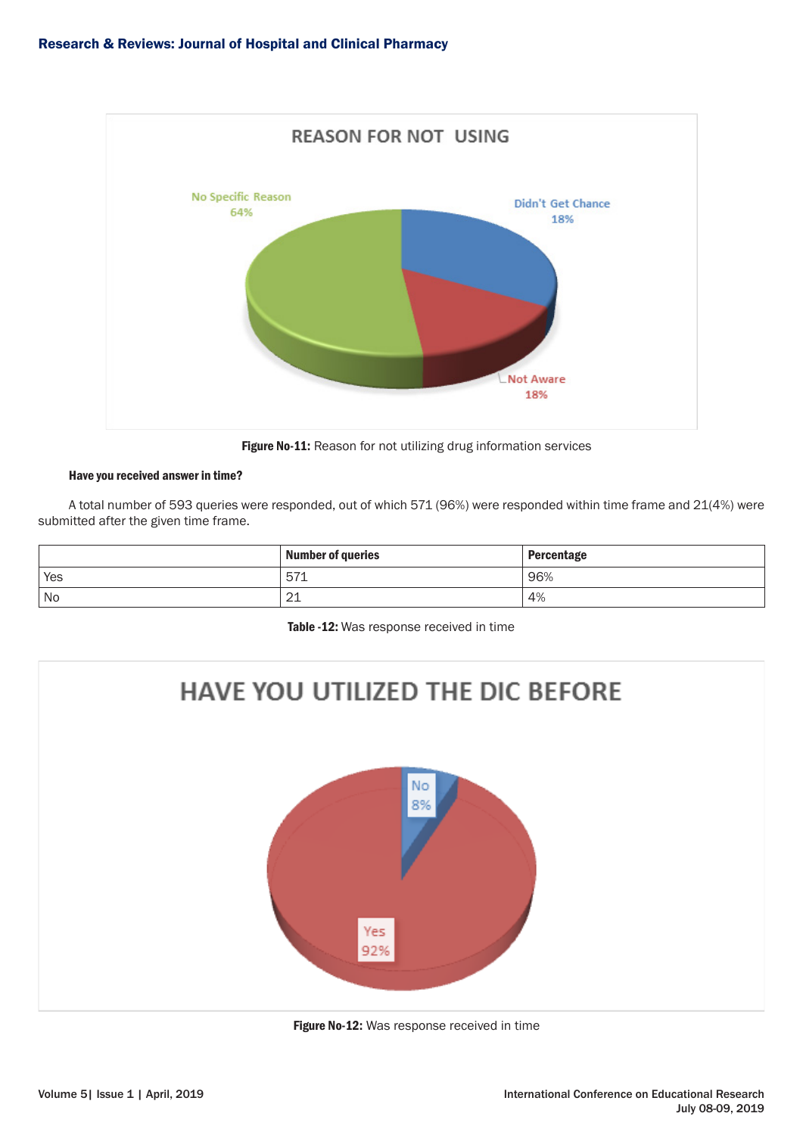

Figure No-11: Reason for not utilizing drug information services

# Have you received answer in time?

A total number of 593 queries were responded, out of which 571 (96%) were responded within time frame and 21(4%) were submitted after the given time frame.

|     | <b>Number of queries</b> | <b>Percentage</b> |
|-----|--------------------------|-------------------|
| Yes | 57'<br>⊾≀ب               | 96%               |
| No  | $\sim$<br>ᅩᆂ             | 4%                |

Table -12: Was response received in time



Figure No-12: Was response received in time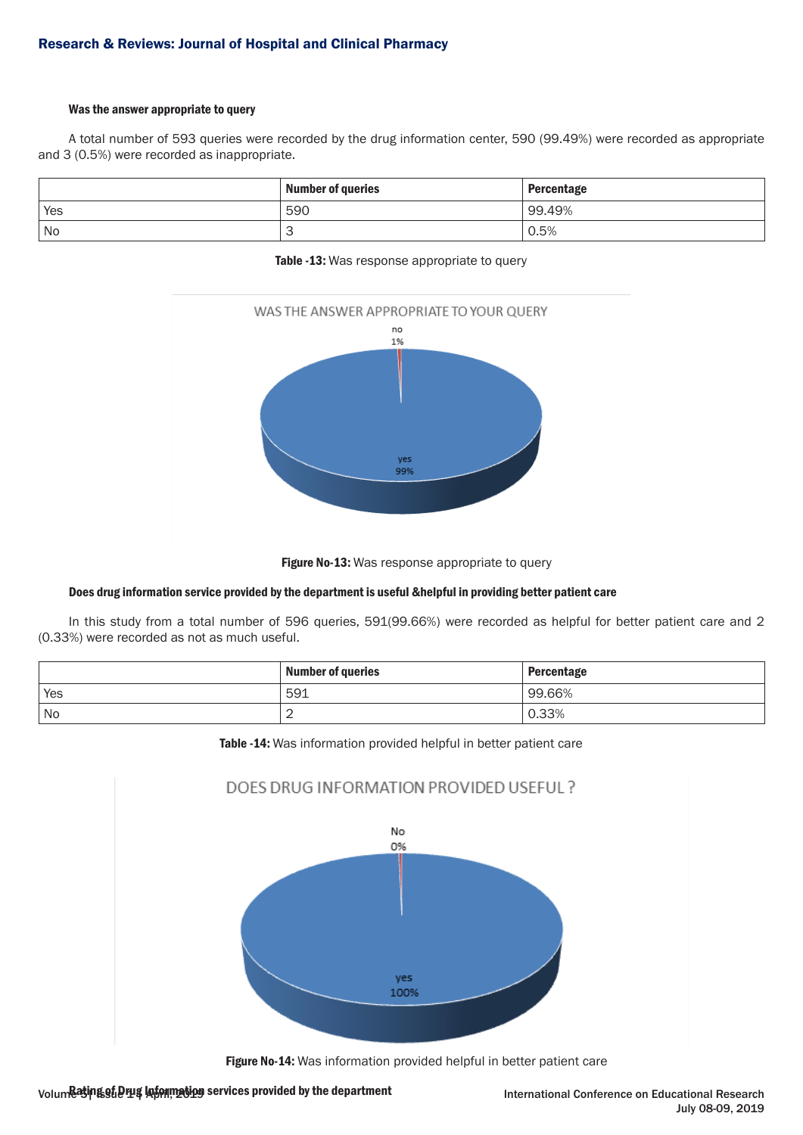# Was the answer appropriate to query

A total number of 593 queries were recorded by the drug information center, 590 (99.49%) were recorded as appropriate and 3 (0.5%) were recorded as inappropriate.

|      | <b>Number of queries</b> | Percentage |
|------|--------------------------|------------|
| Yes  | 590                      | 99.49%     |
| ' No |                          | 0.5%       |

Table -13: Was response appropriate to query



Figure No-13: Was response appropriate to query

# Does drug information service provided by the department is useful &helpful in providing better patient care

In this study from a total number of 596 queries, 591(99.66%) were recorded as helpful for better patient care and 2 (0.33%) were recorded as not as much useful.

|     | <b>Number of queries</b> | <b>Percentage</b> |
|-----|--------------------------|-------------------|
| Yes | 591                      | 99.66%            |
| No  | -                        | .33%              |

Table -14: Was information provided helpful in better patient care



Figure No-14: Was information provided helpful in better patient care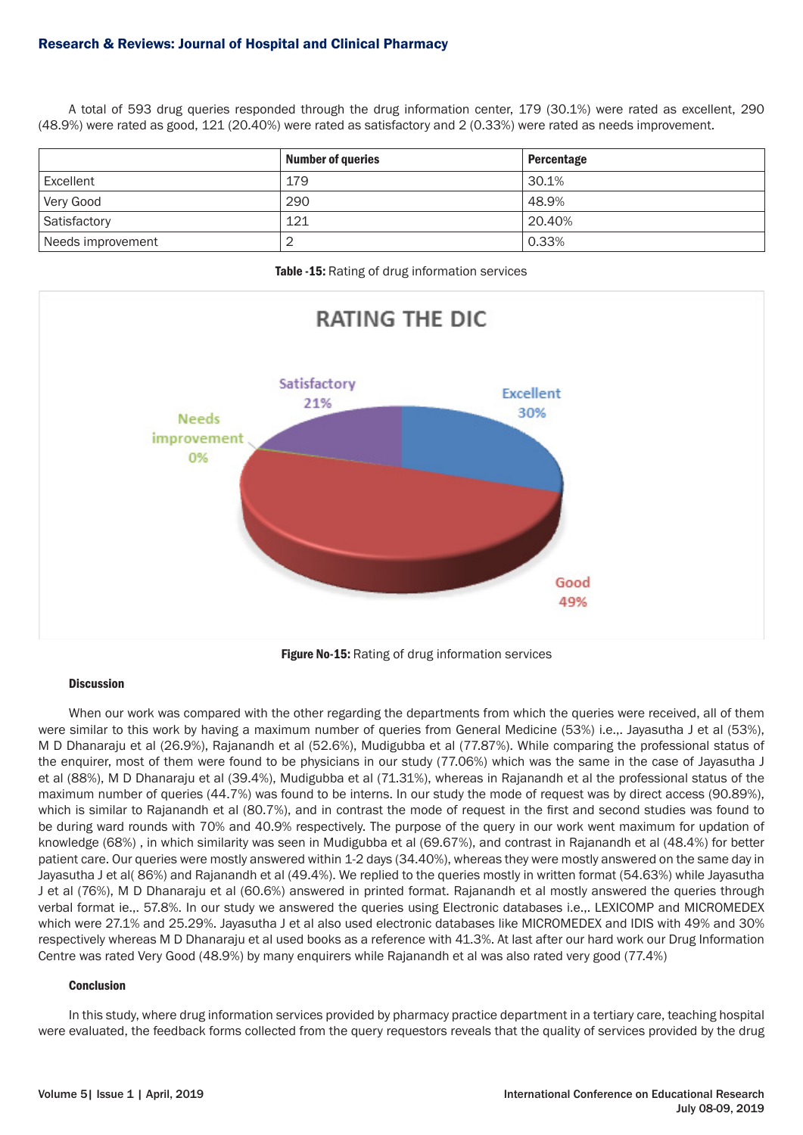# Research & Reviews: Journal of Hospital and Clinical Pharmacy

A total of 593 drug queries responded through the drug information center, 179 (30.1%) were rated as excellent, 290 (48.9%) were rated as good, 121 (20.40%) were rated as satisfactory and 2 (0.33%) were rated as needs improvement.

|                   | <b>Number of queries</b> | Percentage |
|-------------------|--------------------------|------------|
| Excellent         | 179                      | 30.1%      |
| Very Good         | 290                      | 48.9%      |
| Satisfactory      | 121                      | 20.40%     |
| Needs improvement |                          | 0.33%      |

Table -15: Rating of drug information services



Figure No-15: Rating of drug information services

#### **Discussion**

When our work was compared with the other regarding the departments from which the queries were received, all of them were similar to this work by having a maximum number of queries from General Medicine (53%) i.e.,. Jayasutha J et al (53%), M D Dhanaraju et al (26.9%), Rajanandh et al (52.6%), Mudigubba et al (77.87%). While comparing the professional status of the enquirer, most of them were found to be physicians in our study (77.06%) which was the same in the case of Jayasutha J et al (88%), M D Dhanaraju et al (39.4%), Mudigubba et al (71.31%), whereas in Rajanandh et al the professional status of the maximum number of queries (44.7%) was found to be interns. In our study the mode of request was by direct access (90.89%), which is similar to Rajanandh et al (80.7%), and in contrast the mode of request in the first and second studies was found to be during ward rounds with 70% and 40.9% respectively. The purpose of the query in our work went maximum for updation of knowledge (68%) , in which similarity was seen in Mudigubba et al (69.67%), and contrast in Rajanandh et al (48.4%) for better patient care. Our queries were mostly answered within 1-2 days (34.40%), whereas they were mostly answered on the same day in Jayasutha J et al( 86%) and Rajanandh et al (49.4%). We replied to the queries mostly in written format (54.63%) while Jayasutha J et al (76%), M D Dhanaraju et al (60.6%) answered in printed format. Rajanandh et al mostly answered the queries through verbal format ie.,. 57.8%. In our study we answered the queries using Electronic databases i.e.,. LEXICOMP and MICROMEDEX which were 27.1% and 25.29%. Jayasutha J et al also used electronic databases like MICROMEDEX and IDIS with 49% and 30% respectively whereas M D Dhanaraju et al used books as a reference with 41.3%. At last after our hard work our Drug Information Centre was rated Very Good (48.9%) by many enquirers while Rajanandh et al was also rated very good (77.4%)

#### Conclusion

In this study, where drug information services provided by pharmacy practice department in a tertiary care, teaching hospital were evaluated, the feedback forms collected from the query requestors reveals that the quality of services provided by the drug